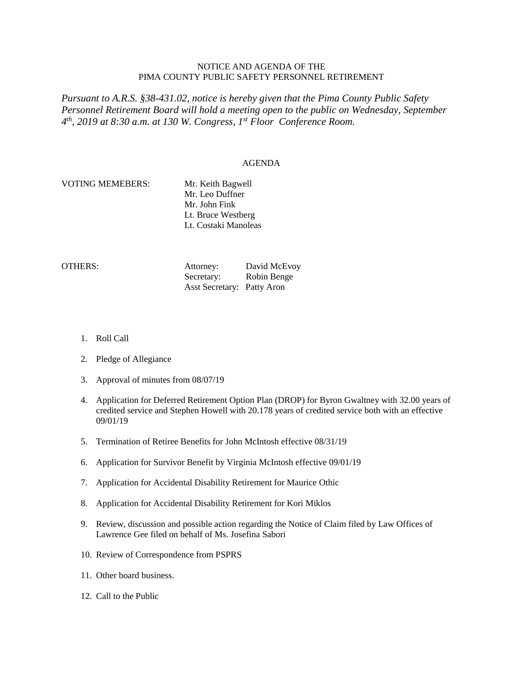# NOTICE AND AGENDA OF THE PIMA COUNTY PUBLIC SAFETY PERSONNEL RETIREMENT

*Pursuant to A.R.S. §38-431.02, notice is hereby given that the Pima County Public Safety Personnel Retirement Board will hold a meeting open to the public on Wednesday, September 4th, 2019 at 8:30 a.m. at 130 W. Congress, 1st Floor Conference Room.*

### AGENDA

# VOTING MEMEBERS: Mr. Keith Bagwell

Mr. Leo Duffner Mr. John Fink Lt. Bruce Westberg Lt. Costaki Manoleas

OTHERS: Attorney: David McEvoy Secretary: Robin Benge Asst Secretary: Patty Aron

- 1. Roll Call
- 2. Pledge of Allegiance
- 3. Approval of minutes from 08/07/19
- 4. Application for Deferred Retirement Option Plan (DROP) for Byron Gwaltney with 32.00 years of credited service and Stephen Howell with 20.178 years of credited service both with an effective 09/01/19
- 5. Termination of Retiree Benefits for John McIntosh effective 08/31/19
- 6. Application for Survivor Benefit by Virginia McIntosh effective 09/01/19
- 7. Application for Accidental Disability Retirement for Maurice Othic
- 8. Application for Accidental Disability Retirement for Kori Miklos
- 9. Review, discussion and possible action regarding the Notice of Claim filed by Law Offices of Lawrence Gee filed on behalf of Ms. Josefina Sabori
- 10. Review of Correspondence from PSPRS
- 11. Other board business.
- 12. Call to the Public